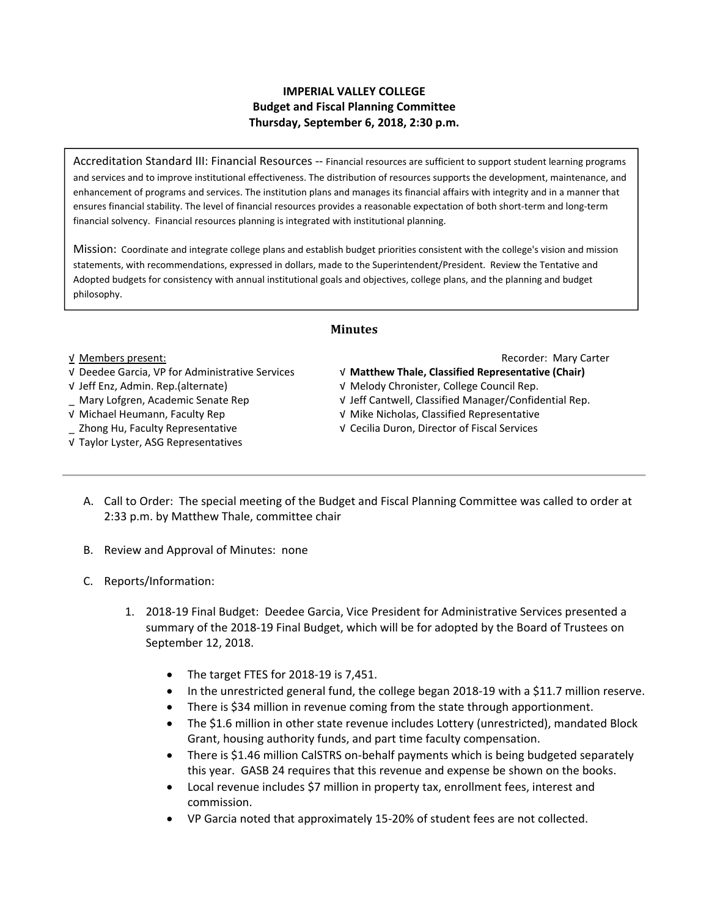# **IMPERIAL VALLEY COLLEGE Budget and Fiscal Planning Committee Thursday, September 6, 2018, 2:30 p.m.**

Accreditation Standard III: Financial Resources ‐‐ Financial resources are sufficient to support student learning programs and services and to improve institutional effectiveness. The distribution of resources supports the development, maintenance, and enhancement of programs and services. The institution plans and manages its financial affairs with integrity and in a manner that ensures financial stability. The level of financial resources provides a reasonable expectation of both short‐term and long‐term financial solvency. Financial resources planning is integrated with institutional planning.

Mission: Coordinate and integrate college plans and establish budget priorities consistent with the college's vision and mission statements, with recommendations, expressed in dollars, made to the Superintendent/President. Review the Tentative and Adopted budgets for consistency with annual institutional goals and objectives, college plans, and the planning and budget philosophy.

# **Minutes**

### √ Deedee Garcia, VP for Administrative Services √ **Matthew Thale, Classified Representative (Chair)**

- 
- 
- 
- 

# √ Taylor Lyster, ASG Representatives

#### √ Members present: Recorder: Mary Carter

- 
- √ Jeff Enz, Admin. Rep.(alternate) √ Melody Chronister, College Council Rep.
- \_ Mary Lofgren, Academic Senate Rep √ Jeff Cantwell, Classified Manager/Confidential Rep.
- √ Michael Heumann, Faculty Rep √ Mike Nicholas, Classified Representative
- \_ Zhong Hu, Faculty Representative √ Cecilia Duron, Director of Fiscal Services
	- A. Call to Order: The special meeting of the Budget and Fiscal Planning Committee was called to order at 2:33 p.m. by Matthew Thale, committee chair
	- B. Review and Approval of Minutes: none
	- C. Reports/Information:
		- 1. 2018‐19 Final Budget: Deedee Garcia, Vice President for Administrative Services presented a summary of the 2018‐19 Final Budget, which will be for adopted by the Board of Trustees on September 12, 2018.
			- The target FTES for 2018-19 is 7,451.
			- In the unrestricted general fund, the college began 2018-19 with a \$11.7 million reserve.
			- There is \$34 million in revenue coming from the state through apportionment.
			- The \$1.6 million in other state revenue includes Lottery (unrestricted), mandated Block Grant, housing authority funds, and part time faculty compensation.
			- There is \$1.46 million CalSTRS on‐behalf payments which is being budgeted separately this year. GASB 24 requires that this revenue and expense be shown on the books.
			- Local revenue includes \$7 million in property tax, enrollment fees, interest and commission.
			- VP Garcia noted that approximately 15‐20% of student fees are not collected.